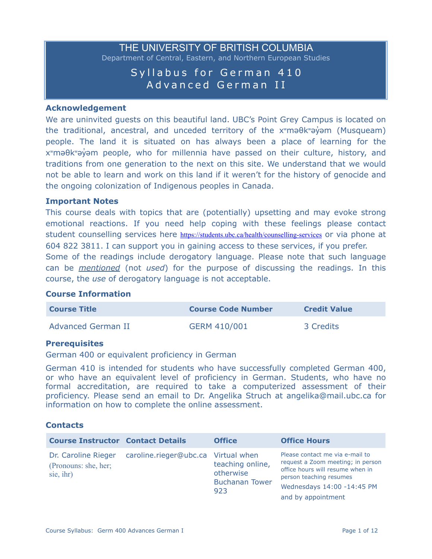# THE UNIVERSITY OF BRITISH COLUMBIA Department of Central, Eastern, and Northern European Studies

# Syllabus for German 410 Advanced German II

#### **Acknowledgement**

We are uninvited guests on this beautiful land. UBC's Point Grey Campus is located on the traditional, ancestral, and unceded territory of the x<sup>w</sup>maθkway im (Musqueam) people. The land it is situated on has always been a place of learning for the x<sup>w</sup>maθkwayam people, who for millennia have passed on their culture, history, and traditions from one generation to the next on this site. We understand that we would not be able to learn and work on this land if it weren't for the history of genocide and the ongoing colonization of Indigenous peoples in Canada.

#### **Important Notes**

This course deals with topics that are (potentially) upsetting and may evoke strong emotional reactions. If you need help coping with these feelings please contact student counselling services here <https://students.ubc.ca/health/counselling-services> or via phone at 604 822 3811. I can support you in gaining access to these services, if you prefer.

Some of the readings include derogatory language. Please note that such language can be *mentioned* (not *used*) for the purpose of discussing the readings. In this course, the *use* of derogatory language is not acceptable.

#### **Course Information**

| <b>Course Title</b>       | <b>Course Code Number</b> | <b>Credit Value</b> |
|---------------------------|---------------------------|---------------------|
| <b>Advanced German II</b> | GERM 410/001              | 3 Credits           |

#### **Prerequisites**

German 400 or equivalent proficiency in German

German 410 is intended for students who have successfully completed German 400, or who have an equivalent level of proficiency in German. Students, who have no formal accreditation, are required to take a computerized assessment of their proficiency. Please send an email to Dr. Angelika Struch at angelika@mail.ubc.ca for information on how to complete the online assessment.

## **Contacts**

| <b>Course Instructor Contact Details</b>                 |                                     | <b>Office</b>                                                 | <b>Office Hours</b>                                                                                                                                                                     |
|----------------------------------------------------------|-------------------------------------|---------------------------------------------------------------|-----------------------------------------------------------------------------------------------------------------------------------------------------------------------------------------|
| Dr. Caroline Rieger<br>(Pronouns: she, her;<br>sie, ihr) | caroline.rieger@ubc.ca Virtual when | teaching online,<br>otherwise<br><b>Buchanan Tower</b><br>923 | Please contact me via e-mail to<br>request a Zoom meeting; in person<br>office hours will resume when in<br>person teaching resumes<br>Wednesdays 14:00 -14:45 PM<br>and by appointment |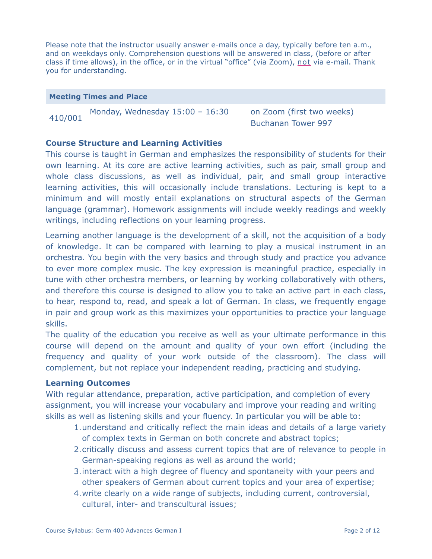Please note that the instructor usually answer e-mails once a day, typically before ten a.m., and on weekdays only. Comprehension questions will be answered in class, (before or after class if time allows), in the office, or in the virtual "office" (via Zoom), not via e-mail. Thank you for understanding.

#### **Meeting Times and Place**

410/001 Monday, Wednesday 15:00 – 16:30 on Zoom (first two weeks)

Buchanan Tower 997

## **Course Structure and Learning Activities**

This course is taught in German and emphasizes the responsibility of students for their own learning. At its core are active learning activities, such as pair, small group and whole class discussions, as well as individual, pair, and small group interactive learning activities, this will occasionally include translations. Lecturing is kept to a minimum and will mostly entail explanations on structural aspects of the German language (grammar). Homework assignments will include weekly readings and weekly writings, including reflections on your learning progress.

Learning another language is the development of a skill, not the acquisition of a body of knowledge. It can be compared with learning to play a musical instrument in an orchestra. You begin with the very basics and through study and practice you advance to ever more complex music. The key expression is meaningful practice, especially in tune with other orchestra members, or learning by working collaboratively with others, and therefore this course is designed to allow you to take an active part in each class, to hear, respond to, read, and speak a lot of German. In class, we frequently engage in pair and group work as this maximizes your opportunities to practice your language skills.

The quality of the education you receive as well as your ultimate performance in this course will depend on the amount and quality of your own effort (including the frequency and quality of your work outside of the classroom). The class will complement, but not replace your independent reading, practicing and studying.

## **Learning Outcomes**

With regular attendance, preparation, active participation, and completion of every assignment, you will increase your vocabulary and improve your reading and writing skills as well as listening skills and your fluency. In particular you will be able to:

- 1.understand and critically reflect the main ideas and details of a large variety of complex texts in German on both concrete and abstract topics;
- 2.critically discuss and assess current topics that are of relevance to people in German-speaking regions as well as around the world;
- 3.interact with a high degree of fluency and spontaneity with your peers and other speakers of German about current topics and your area of expertise;
- 4.write clearly on a wide range of subjects, including current, controversial, cultural, inter- and transcultural issues;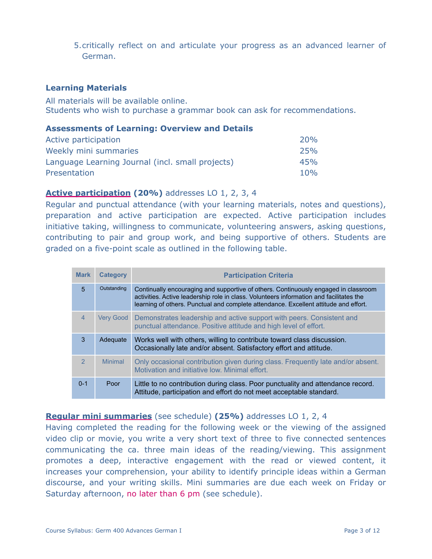5.critically reflect on and articulate your progress as an advanced learner of German.

## **Learning Materials**

All materials will be available online. Students who wish to purchase a grammar book can ask for recommendations.

#### **Assessments of Learning: Overview and Details**

| Active participation                             | 20%        |
|--------------------------------------------------|------------|
| Weekly mini summaries                            | <b>25%</b> |
| Language Learning Journal (incl. small projects) | 45%        |
| Presentation                                     | 10%        |

## **Active participation (20%)** addresses LO 1, 2, 3, 4

Regular and punctual attendance (with your learning materials, notes and questions), preparation and active participation are expected. Active participation includes initiative taking, willingness to communicate, volunteering answers, asking questions, contributing to pair and group work, and being supportive of others. Students are graded on a five-point scale as outlined in the following table.

| <b>Mark</b>    | <b>Category</b> | <b>Participation Criteria</b>                                                                                                                                                                                                                                          |
|----------------|-----------------|------------------------------------------------------------------------------------------------------------------------------------------------------------------------------------------------------------------------------------------------------------------------|
| $\overline{5}$ | Outstanding     | Continually encouraging and supportive of others. Continuously engaged in classroom<br>activities. Active leadership role in class. Volunteers information and facilitates the<br>learning of others. Punctual and complete attendance. Excellent attitude and effort. |
| $\overline{4}$ | Very Good       | Demonstrates leadership and active support with peers. Consistent and<br>punctual attendance. Positive attitude and high level of effort.                                                                                                                              |
| 3              | Adequate        | Works well with others, willing to contribute toward class discussion.<br>Occasionally late and/or absent. Satisfactory effort and attitude.                                                                                                                           |
| $\overline{2}$ | <b>Minimal</b>  | Only occasional contribution given during class. Frequently late and/or absent.<br>Motivation and initiative low. Minimal effort.                                                                                                                                      |
| $0 - 1$        | Poor            | Little to no contribution during class. Poor punctuality and attendance record.<br>Attitude, participation and effort do not meet acceptable standard.                                                                                                                 |

## **Regular mini summaries** (see schedule) **(25%)** addresses LO 1, 2, 4

Having completed the reading for the following week or the viewing of the assigned video clip or movie, you write a very short text of three to five connected sentences communicating the ca. three main ideas of the reading/viewing. This assignment promotes a deep, interactive engagement with the read or viewed content, it increases your comprehension, your ability to identify principle ideas within a German discourse, and your writing skills. Mini summaries are due each week on Friday or Saturday afternoon, no later than 6 pm (see schedule).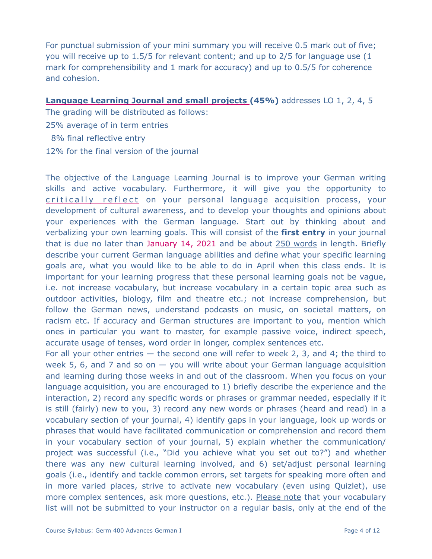For punctual submission of your mini summary you will receive 0.5 mark out of five; you will receive up to 1.5/5 for relevant content; and up to 2/5 for language use (1 mark for comprehensibility and 1 mark for accuracy) and up to 0.5/5 for coherence and cohesion.

**Language Learning Journal and small projects (45%)** addresses LO 1, 2, 4, 5

The grading will be distributed as follows:

25% average of in term entries

8% final reflective entry

12% for the final version of the journal

The objective of the Language Learning Journal is to improve your German writing skills and active vocabulary. Furthermore, it will give you the opportunity to critically reflect on your personal language acquisition process, your development of cultural awareness, and to develop your thoughts and opinions about your experiences with the German language. Start out by thinking about and verbalizing your own learning goals. This will consist of the **first entry** in your journal that is due no later than January 14, 2021 and be about 250 words in length. Briefly describe your current German language abilities and define what your specific learning goals are, what you would like to be able to do in April when this class ends. It is important for your learning progress that these personal learning goals not be vague, i.e. not increase vocabulary, but increase vocabulary in a certain topic area such as outdoor activities, biology, film and theatre etc.; not increase comprehension, but follow the German news, understand podcasts on music, on societal matters, on racism etc. If accuracy and German structures are important to you, mention which ones in particular you want to master, for example passive voice, indirect speech, accurate usage of tenses, word order in longer, complex sentences etc.

For all your other entries  $-$  the second one will refer to week 2, 3, and 4; the third to week 5, 6, and 7 and so on  $-$  you will write about your German language acquisition and learning during those weeks in and out of the classroom. When you focus on your language acquisition, you are encouraged to 1) briefly describe the experience and the interaction, 2) record any specific words or phrases or grammar needed, especially if it is still (fairly) new to you, 3) record any new words or phrases (heard and read) in a vocabulary section of your journal, 4) identify gaps in your language, look up words or phrases that would have facilitated communication or comprehension and record them in your vocabulary section of your journal, 5) explain whether the communication/ project was successful (i.e., "Did you achieve what you set out to?") and whether there was any new cultural learning involved, and 6) set/adjust personal learning goals (i.e., identify and tackle common errors, set targets for speaking more often and in more varied places, strive to activate new vocabulary (even using Quizlet), use more complex sentences, ask more questions, etc.). Please note that your vocabulary list will not be submitted to your instructor on a regular basis, only at the end of the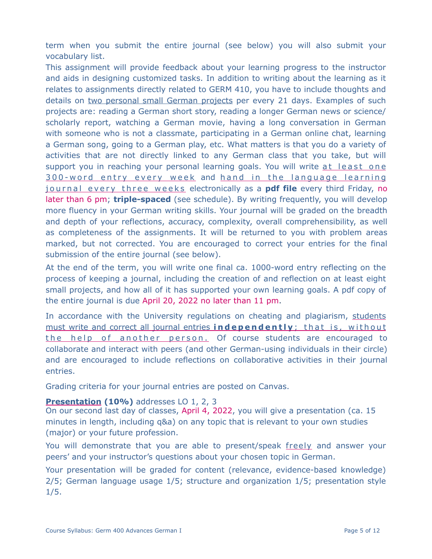term when you submit the entire journal (see below) you will also submit your vocabulary list.

This assignment will provide feedback about your learning progress to the instructor and aids in designing customized tasks. In addition to writing about the learning as it relates to assignments directly related to GERM 410, you have to include thoughts and details on two personal small German projects per every 21 days. Examples of such projects are: reading a German short story, reading a longer German news or science/ scholarly report, watching a German movie, having a long conversation in German with someone who is not a classmate, participating in a German online chat, learning a German song, going to a German play, etc. What matters is that you do a variety of activities that are not directly linked to any German class that you take, but will support you in reaching your personal learning goals. You will write at least one 300-word entry every week and hand in the language learning journal every three weeks electronically as a **pdf file** every third Friday, no later than 6 pm; **triple-spaced** (see schedule). By writing frequently, you will develop more fluency in your German writing skills. Your journal will be graded on the breadth and depth of your reflections, accuracy, complexity, overall comprehensibility, as well as completeness of the assignments. It will be returned to you with problem areas marked, but not corrected. You are encouraged to correct your entries for the final submission of the entire journal (see below).

At the end of the term, you will write one final ca. 1000-word entry reflecting on the process of keeping a journal, including the creation of and reflection on at least eight small projects, and how all of it has supported your own learning goals. A pdf copy of the entire journal is due April 20, 2022 no later than 11 pm.

In accordance with the University regulations on cheating and plagiarism, students must write and correct all journal entries **independently** ; that is, without the help of another person. Of course students are encouraged to collaborate and interact with peers (and other German-using individuals in their circle) and are encouraged to include reflections on collaborative activities in their journal entries.

Grading criteria for your journal entries are posted on Canvas.

# **Presentation (10%)** addresses LO 1, 2, 3

On our second last day of classes, April 4, 2022, you will give a presentation (ca. 15 minutes in length, including q&a) on any topic that is relevant to your own studies (major) or your future profession.

You will demonstrate that you are able to present/speak freely and answer your peers' and your instructor's questions about your chosen topic in German.

Your presentation will be graded for content (relevance, evidence-based knowledge) 2/5; German language usage 1/5; structure and organization 1/5; presentation style 1/5.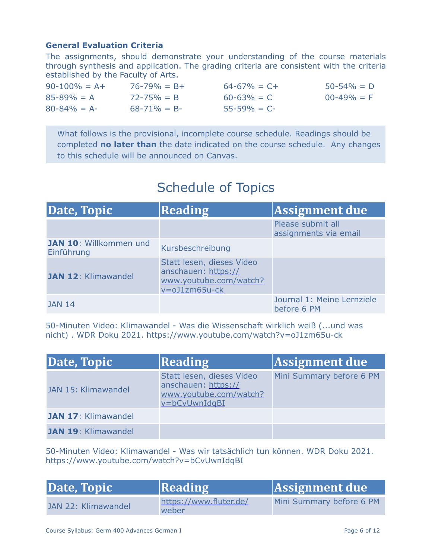# **General Evaluation Criteria**

The assignments, should demonstrate your understanding of the course materials through synthesis and application. The grading criteria are consistent with the criteria established by the Faculty of Arts.

| $90-100\% = A+$ | $76 - 79\% = B +$ | $64 - 67\% = C +$ | $50 - 54\% = D$ |
|-----------------|-------------------|-------------------|-----------------|
| $85 - 89\% = A$ | $72 - 75\% = B$   | $60 - 63\% = C$   | $00 - 49\% = F$ |
| $80 - 84\% = A$ | $68 - 71\% = B$   | $55 - 59\% = C$   |                 |

What follows is the provisional, incomplete course schedule. Readings should be completed **no later than** the date indicated on the course schedule. Any changes to this schedule will be announced on Canvas.

# Schedule of Topics

| Date, Topic                          | <b>Reading</b>                                                                                  | Assignment due                             |
|--------------------------------------|-------------------------------------------------------------------------------------------------|--------------------------------------------|
|                                      |                                                                                                 | Please submit all<br>assignments via email |
| JAN 10: Willkommen und<br>Einführung | Kursbeschreibung                                                                                |                                            |
| JAN 12: Klimawandel                  | Statt lesen, dieses Video<br>anschauen: https://<br>www.youtube.com/watch?<br>$v = oJ1zm65u-ck$ |                                            |
| <b>JAN 14</b>                        |                                                                                                 | Journal 1: Meine Lernziele<br>before 6 PM  |

50-Minuten Video: Klimawandel - Was die Wissenschaft wirklich weiß (...und was nicht) . WDR Doku 2021. https://www.youtube.com/watch?v=oJ1zm65u-ck

| Date, Topic                | Reading                                                                                     | Assignment due           |
|----------------------------|---------------------------------------------------------------------------------------------|--------------------------|
| JAN 15: Klimawandel        | Statt lesen, dieses Video<br>anschauen: https://<br>www.youtube.com/watch?<br>v=bCvUwnIdgBI | Mini Summary before 6 PM |
| <b>JAN 17: Klimawandel</b> |                                                                                             |                          |
| <b>JAN 19: Klimawandel</b> |                                                                                             |                          |

50-Minuten Video: Klimawandel - Was wir tatsächlich tun können. WDR Doku 2021. https://www.youtube.com/watch?v=bCvUwnIdqBI

| Date, Topic         | <b>Reading</b>                  | Assignment due           |
|---------------------|---------------------------------|--------------------------|
| JAN 22: Klimawandel | https://www.fluter.de/<br>weber | Mini Summary before 6 PM |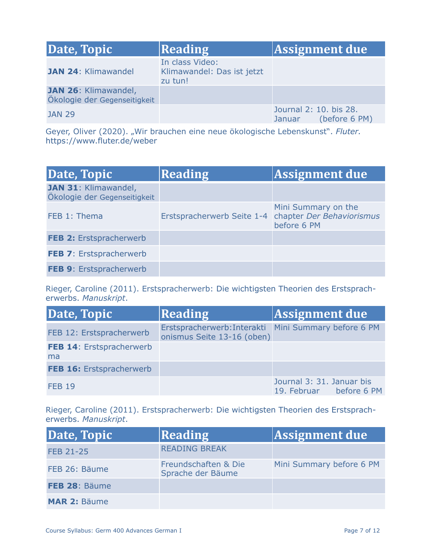| Date, Topic                                          | Reading                                                  | Assignment due                                                 |
|------------------------------------------------------|----------------------------------------------------------|----------------------------------------------------------------|
| <b>JAN 24: Klimawandel</b>                           | In class Video:<br>Klimawandel: Das ist jetzt<br>zu tun! |                                                                |
| JAN 26: Klimawandel,<br>Ökologie der Gegenseitigkeit |                                                          |                                                                |
| <b>JAN 29</b>                                        |                                                          | Journal 2: 10. bis 28.<br>(before 6 PM)<br>Januar <sup>1</sup> |

Geyer, Oliver (2020). "Wir brauchen eine neue ökologische Lebenskunst". *Fluter.*  https://www.fluter.de/weber

| Date, Topic                                          | Reading                    | Assignment due                                                  |
|------------------------------------------------------|----------------------------|-----------------------------------------------------------------|
| JAN 31: Klimawandel,<br>Ökologie der Gegenseitigkeit |                            |                                                                 |
| FEB 1: Thema                                         | Erstspracherwerb Seite 1-4 | Mini Summary on the<br>chapter Der Behaviorismus<br>before 6 PM |
| FEB 2: Erstspracherwerb                              |                            |                                                                 |
| FEB 7: Erstspracherwerb                              |                            |                                                                 |
| FEB 9: Erstspracherwerb                              |                            |                                                                 |

Rieger, Caroline (2011). Erstspracherwerb: Die wichtigsten Theorien des Erstspracherwerbs. *Manuskript*.

| Date, Topic                    | Reading                                                                            | Assignment due                                       |
|--------------------------------|------------------------------------------------------------------------------------|------------------------------------------------------|
| FEB 12: Erstspracherwerb       | Erstspracherwerb: Interakti Mini Summary before 6 PM<br>onismus Seite 13-16 (oben) |                                                      |
| FEB 14: Erstspracherwerb<br>ma |                                                                                    |                                                      |
| FEB 16: Erstspracherwerb       |                                                                                    |                                                      |
| <b>FEB 19</b>                  |                                                                                    | Journal 3: 31. Januar bis<br>19. Februar before 6 PM |

Rieger, Caroline (2011). Erstspracherwerb: Die wichtigsten Theorien des Erstspracherwerbs. *Manuskript*.

| Date, Topic         | Reading                                   | Assignment due           |
|---------------------|-------------------------------------------|--------------------------|
| FEB 21-25           | <b>READING BREAK</b>                      |                          |
| FEB 26: Bäume       | Freundschaften & Die<br>Sprache der Bäume | Mini Summary before 6 PM |
| FEB 28: Bäume       |                                           |                          |
| <b>MAR 2: Bäume</b> |                                           |                          |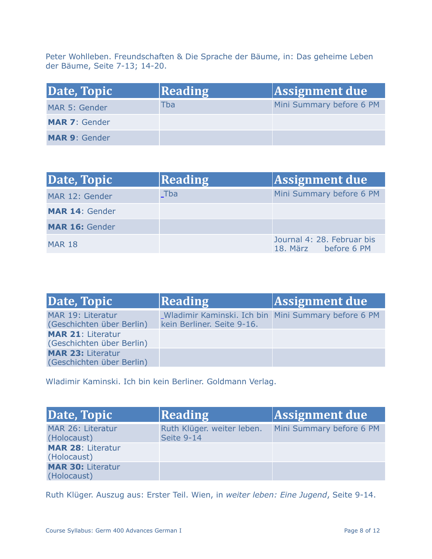Peter Wohlleben. Freundschaften & Die Sprache der Bäume, in: Das geheime Leben der Bäume, Seite 7-13; 14-20.

| Date, Topic          | <b>Reading</b> | Assignment due           |
|----------------------|----------------|--------------------------|
| MAR 5: Gender        | Tba            | Mini Summary before 6 PM |
| <b>MAR 7: Gender</b> |                |                          |
| <b>MAR 9: Gender</b> |                |                          |

| Date, Topic           | Reading | Assignment due                                     |
|-----------------------|---------|----------------------------------------------------|
| MAR 12: Gender        | Tba     | Mini Summary before 6 PM                           |
| <b>MAR 14: Gender</b> |         |                                                    |
| <b>MAR 16: Gender</b> |         |                                                    |
| <b>MAR 18</b>         |         | Journal 4: 28. Februar bis<br>18. März before 6 PM |

| Date, Topic                                           | Reading                                                                           | Assignment due |
|-------------------------------------------------------|-----------------------------------------------------------------------------------|----------------|
| MAR 19: Literatur<br>(Geschichten über Berlin)        | Wladimir Kaminski. Ich bin Mini Summary before 6 PM<br>kein Berliner. Seite 9-16. |                |
| <b>MAR 21: Literatur</b><br>(Geschichten über Berlin) |                                                                                   |                |
| <b>MAR 23: Literatur</b><br>(Geschichten über Berlin) |                                                                                   |                |

Wladimir Kaminski. Ich bin kein Berliner. Goldmann Verlag.

| Date, Topic                             | <b>Reading</b>                           | Assignment due           |
|-----------------------------------------|------------------------------------------|--------------------------|
| MAR 26: Literatur<br>(Holocaust)        | Ruth Klüger. weiter leben.<br>Seite 9-14 | Mini Summary before 6 PM |
| <b>MAR 28: Literatur</b><br>(Holocaust) |                                          |                          |
| <b>MAR 30: Literatur</b><br>(Holocaust) |                                          |                          |

Ruth Klüger. Auszug aus: Erster Teil. Wien, in *weiter leben: Eine Jugend*, Seite 9-14.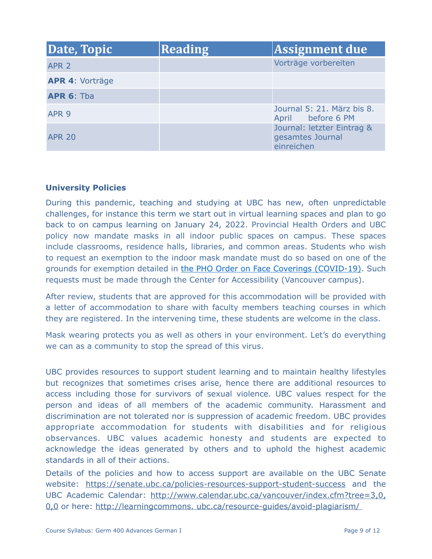| Date, Topic            | Reading | Assignment due                                               |
|------------------------|---------|--------------------------------------------------------------|
| APR <sub>2</sub>       |         | Vorträge vorbereiten                                         |
| <b>APR 4: Vorträge</b> |         |                                                              |
| <b>APR 6: Tba</b>      |         |                                                              |
| APR <sub>9</sub>       |         | Journal 5: 21. März bis 8.<br>April before 6 PM              |
| <b>APR 20</b>          |         | Journal: letzter Eintrag &<br>gesamtes Journal<br>einreichen |

# **University Policies**

During this pandemic, teaching and studying at UBC has new, often unpredictable challenges, for instance this term we start out in virtual learning spaces and plan to go back to on campus learning on January 24, 2022. Provincial Health Orders and UBC policy now mandate masks in all indoor public spaces on campus. These spaces include classrooms, residence halls, libraries, and common areas. Students who wish to request an exemption to the indoor mask mandate must do so based on one of the grounds for exemption detailed in [the PHO Order on Face Coverings \(COVID-19\)](https://www2.gov.bc.ca/assets/gov/health/about-bc-s-health-care-system/office-of-the-provincial-health-officer/covid-19/covid-19-pho-order-face-coverings.pdf). Such requests must be made through the Center for Accessibility (Vancouver campus).

After review, students that are approved for this accommodation will be provided with a letter of accommodation to share with faculty members teaching courses in which they are registered. In the intervening time, these students are welcome in the class.

Mask wearing protects you as well as others in your environment. Let's do everything we can as a community to stop the spread of this virus.

UBC provides resources to support student learning and to maintain healthy lifestyles but recognizes that sometimes crises arise, hence there are additional resources to access including those for survivors of sexual violence. UBC values respect for the person and ideas of all members of the academic community. Harassment and discrimination are not tolerated nor is suppression of academic freedom. UBC provides appropriate accommodation for students with disabilities and for religious observances. UBC values academic honesty and students are expected to acknowledge the ideas generated by others and to uphold the highest academic standards in all of their actions.

Details of the policies and how to access support are available on [the UBC Senate](https://senate.ubc.ca/policies-resources-support-student-success) [website](https://senate.ubc.ca/policies-resources-support-student-success): https://senate.ubc.ca/policies-resources-support-student-success and the UBC Academic Calendar: http://www.calendar.ubc.ca/vancouver/index.cfm?tree=3,0, 0,0 or here: http://learningcommons. ubc.ca/resource-guides/avoid-plagiarism/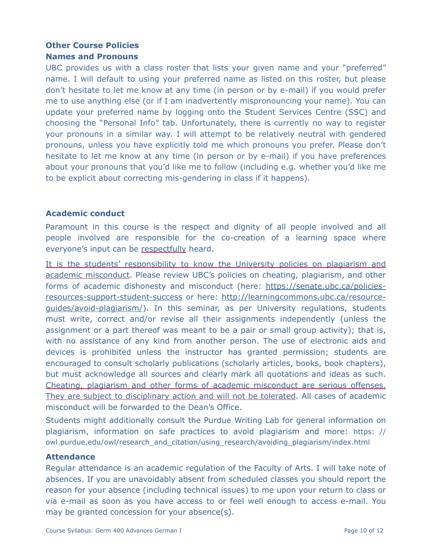# **Other Course Policies**

# **Names and Pronouns**

UBC provides us with a class roster that lists your given name and your "preferred" name. I will default to using your preferred name as listed on this roster, but please don't hesitate to let me know at any time (in person or by e-mail) if you would prefer me to use anything else (or if I am inadvertently mispronouncing your name). You can update your preferred name by logging onto the Student Services Centre (SSC) and choosing the "Personal Info" tab. Unfortunately, there is currently no way to register your pronouns in a similar way. I will attempt to be relatively neutral with gendered pronouns, unless you have explicitly told me which pronouns you prefer. Please don't hesitate to let me know at any time (in person or by e-mail) if you have preferences about your pronouns that you'd like me to follow (including e.g. whether you'd like me to be explicit about correcting mis-gendering in class if it happens).

# **Academic conduct**

Paramount in this course is the respect and dignity of all people involved and all people involved are responsible for the co-creation of a learning space where everyone's input can be respectfully heard.

It is the students' responsibility to know the University policies on plagiarism and academic misconduct. Please review UBC's policies on cheating, plagiarism, and other forms of academic dishonesty and misconduct (here: https://senate.ubc.ca/policiesresources-support-student-success or here: http://learningcommons.ubc.ca/resourceguides/avoid-plagiarism/). In this seminar, as per University regulations, students must write, correct and/or revise all their assignments independently (unless the assignment or a part thereof was meant to be a pair or small group activity); that is, with no assistance of any kind from another person. The use of electronic aids and devices is prohibited unless the instructor has granted permission; students are encouraged to consult scholarly publications (scholarly articles, books, book chapters), but must acknowledge all sources and clearly mark all quotations and ideas as such. Cheating, plagiarism and other forms of academic misconduct are serious offenses. They are subject to disciplinary action and will not be tolerated. All cases of academic misconduct will be forwarded to the Dean's Office.

Students might additionally consult the Purdue Writing Lab for general information on plagiarism, information on safe practices to avoid plagiarism and more: https: // owl.purdue.edu/owl/research\_and\_citation/using\_research/avoiding\_plagiarism/index.html

## **Attendance**

Regular attendance is an academic regulation of the Faculty of Arts. I will take note of absences. If you are unavoidably absent from scheduled classes you should report the reason for your absence (including technical issues) to me upon your return to class or via e-mail as soon as you have access to or feel well enough to access e-mail. You may be granted concession for your absence(s).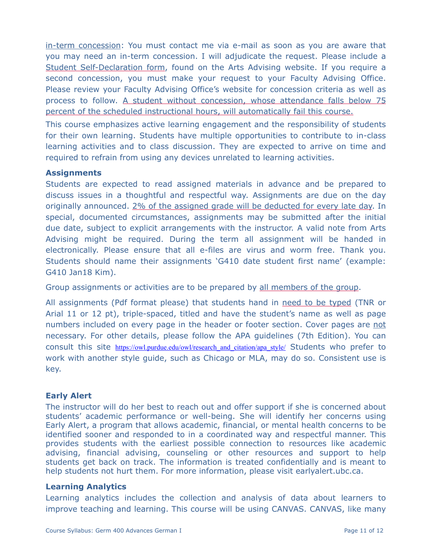[in-term concession](http://www.calendar.ubc.ca/vancouver/index.cfm?tree=3,329,0,0#26592): You must contact me via e-mail as soon as you are aware that you may need an [in-term concession.](http://www.calendar.ubc.ca/vancouver/index.cfm?tree=3,329,0,0#26592) I will adjudicate the request. Please include a Student Self-Declaration form, found on the [Arts Advising website.](https://students.arts.ubc.ca/advising/academic-performance/help-academic-concession/) If you require a second concession, you must make your request to your Faculty Advising Office. Please review your Faculty Advising Office's website for concession criteria as well as process to follow. A student without concession, whose attendance falls below 75 percent of the scheduled instructional hours, will automatically fail this course.

This course emphasizes active learning engagement and the responsibility of students for their own learning. Students have multiple opportunities to contribute to in-class learning activities and to class discussion. They are expected to arrive on time and required to refrain from using any devices unrelated to learning activities.

# **Assignments**

Students are expected to read assigned materials in advance and be prepared to discuss issues in a thoughtful and respectful way. Assignments are due on the day originally announced. 2% of the assigned grade will be deducted for every late day. In special, documented circumstances, assignments may be submitted after the initial due date, subject to explicit arrangements with the instructor. A valid note from Arts Advising might be required. During the term all assignment will be handed in electronically. Please ensure that all e-files are virus and worm free. Thank you. Students should name their assignments 'G410 date student first name' (example: G410 Jan18 Kim).

Group assignments or activities are to be prepared by all members of the group.

All assignments (Pdf format please) that students hand in need to be typed (TNR or Arial 11 or 12 pt), triple-spaced, titled and have the student's name as well as page numbers included on every page in the header or footer section. Cover pages are not necessary. For other details, please follow the APA guidelines (7th Edition). You can consult this site https://owl.purdue.edu/owl/research and citation/apa\_style/ Students who prefer to work with another style guide, such as Chicago or MLA, may do so. Consistent use is key.

# **Early Alert**

The instructor will do her best to reach out and offer support if she is concerned about students' academic performance or well-being. She will identify her concerns using Early Alert, a program that allows academic, financial, or mental health concerns to be identified sooner and responded to in a coordinated way and respectful manner. This provides students with the earliest possible connection to resources like academic advising, financial advising, counseling or other resources and support to help students get back on track. The information is treated confidentially and is meant to help students not hurt them. For more information, please visit earlyalert.ubc.ca.

# **Learning Analytics**

Learning analytics includes the collection and analysis of data about learners to improve teaching and learning. This course will be using CANVAS. CANVAS, like many